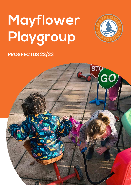# **Mayflower Playgroup**



### **PROSPECTUS 22/23**

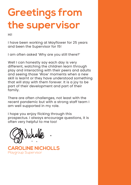### **Greetings from the supervisor**

Hi!

I have been working at Mayflower for 25 years and been the Supervisor for 15!

I am often asked 'Why are you still there?'

Well I can honestly say each day is very different, watching the children learn through play and interacting with their peers and adults and seeing those 'Wow' moments when a new skill is learnt or they have understood something that will stay with them forever. It is a joy to be part of their development and part of their family.

There are often challenges, not least with the recent pandemic but with a strong staff team I am well supported in my role.

I hope you enjoy flicking through this prospectus. I always encourage questions, it is often very helpful to me too!

**CAROLINE NICHOLLS** Playgroup Supervisor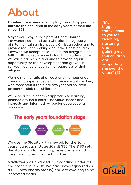### **About**

#### **Families have been trusting Mayflower Playgroup to nurture their children in the early years of their life since 1973!**

Mayflower Playgroup is part of Christ Church Haywards Heath and as a Christian playgroup we aim to maintain a distinctively Christian ethos and to provide regular teaching about the Christian faith. However, we accept children into the playgroup of all faiths, with no requirements for church attendance. We value each child and aim to provide equal opportunity for the development and growth in self-confidence of each child regardless of their religion.

We maintain a ratio of at least one member of our caring and experienced staff to every eight children; with more staff if there are two year old children present (1 adult to 4 children).

We have a 'child centred' approach to learning, planned around a child's individual needs and interests and informed by regular observational assessment.



We use the Statutory Framework for the Early years foundation stage 2021(EYFS). The EYFS sets the standards for learning, development and care for children from birth to five.

Mayflower was awarded 'Outstanding' under it's charity status in 2018. We have now registered as a CIO (new charity status) and are awaiting to be inspected again.

#### **''My**

**biggest thanks goes to you for teaching, nurturing and guiding my four children and supporting me over the years'' (Z)**

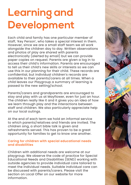### **Learning and Development**

Each child and family has one particular member of staff, 'Key Person', who takes a special interest in them. However, since we are a small staff team we all work alongside the children day to day. Written observations and photos of play are shared with parents electronically (alerted by email) but we can provide paper copies on request. Parents are given a log in to access their child's information. Parents are encouraged to tell us their child's new skills or interests so we can use this in our planning for their child. These records are confidential, but individual children's records are available to their parents/carers at all times. When a child leaves our Playgroup a summary of learning is passed to the new setting/school.

Parents/carers and grandparents are encouraged to stay and play with us at Mayflower, even for just an hour. The children really like it and it gives you an idea of how we learn through play and the interactions between staff and children. We also particularly appreciate help on our local outings.

At the end of each term we hold an informal service to which parents/relatives and friends are invited. The children sing, a short bible talk is given and refreshments served. This has proven to be a great opportunity for families to get to know one another.

#### **Caring for children with special educational needs and disabilities**

Children with additional needs are welcome at our playgroup. We observe the code of practice for Special Educational Needs and Disabilities (SEND) working with outside agencies to provide individual care tailored to meet the individual needs. Suitable individual care can be discussed with parents/carers. Please visit the section on Local Offer on our website for more information.

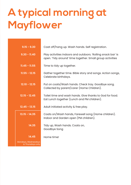### **A typical morning at Mayflower**

| $9.15 - 9.30$                           | Coat off/hang up. Wash hands. Self registration.                                                                          |
|-----------------------------------------|---------------------------------------------------------------------------------------------------------------------------|
| $9.30 - 11.40$                          | Play activities indoors and outdoors. 'Rolling snack bar' is<br>open. 'Tidy around' time together. Small group activities |
| $11.45 - 11.55$                         | Time to tidy up together.                                                                                                 |
| $11.55 - 12.15$                         | Gather together time. Bible story and songs. Action songs,<br>Celebrate birthdays.                                        |
| $12.10 - 12.15$                         | Put on coats/Wash hands. Check tray. Goodbye song.<br>Collected by parent/carer (Home Children).                          |
| $12.15 - 12.45$                         | Toilet time and wash hands. Give thanks to God for food.<br>Eat Lunch together (Lunch and PM children).                   |
| $12.45 - 13.15$                         | Adult initiated activity & free play.                                                                                     |
| $13.15 - 14.35$                         | Coats on/Wash hands, Farewell song (Home children).<br>Indoor and Garden open (PM children).                              |
| 14.35                                   | Tidy up, Wash hands. Coats on,<br>Goodbye Song                                                                            |
| 14.45                                   | Home time!                                                                                                                |
| Mondays, Wednesdays<br>& Thursdays only |                                                                                                                           |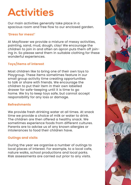### **Activities**

Our main activities generally take place in a spacious room and free flow to our enclosed garden.

#### **'Dress for mess!'**

At Mayflower we provide a mixture of messy activities, painting, sand, mud, dough, clay! We encourage the children to join in and often an apron puts them off joining in. So please send them in suitable clothing for these wonderful experiences.

#### **Toys/Items of interest**

Most children like to bring one of their own toys to Playgroup. These items sometimes feature in our small group activity time creating opportunities to talk or share with friends. We encourage the children to put their item in their own labelled drawer for safe-keeping until it is time to go home. We try to keep toys safe, but cannot accept responsibility for any loss or damage.

#### **Refreshments**

We provide fresh drinking water at all times. At snack time we provide a choice of milk or water to drink. The children are then offered a healthy snack. We sometimes experience foods from different cultures. Parents are to advise us of any known allergies or intolerances to food their children have.

#### **Outings and visits**

During the year we organise a number of outings to local places of interest. For example, to a local cafe, nature walks, school productions and local parks. Risk assessments are carried out prior to any visits.

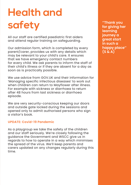## **Health and safety**

All our staff are certified paediatric first aiders and attend regular training on safeguarding.

Our admission form, which is completed by every parent/carer, provides us with any details which may be relevant to your child's care. It ensures that we have emergency contact numbers for every child. We ask parents to inform the staff of their child's illness or if they are absent for a day as soon as is practically possible.

We use advice from GOV.UK and their information for 'Managing specific infectious diseases' to work out when children can return to Mayflower after illness. For example with sickness or diarrhoea to return after 48 hours from last sickness or diarrhoea episode.

We are very security-conscious keeping our doors and outside gate locked during the sessions and opened only to admit authorised persons who sign a visitor's book.

#### **UPDATE: Covid-19 Pandemic**

As a playgroup we take the safety of the children and our staff seriously. We're closely following the guidance the Government and WSCC give us in regards to how to operate in a way which minimises the spread of the virus. We'll keep parents and carers updated on any changes regularly during this time.

**''Thank you for giving her learning journey a great start in such a happy place'' (S & A)**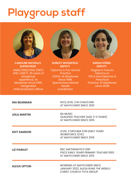### **Playgroup staff**



**CAROLINE NICHOLLS SUPERVISOR** NNEB (1983) RGN (1987) APEL (2007). 30 years of playgroup experience. At Mayflower since 1995. Designated child protection officer



**SHIRLEY WOODFIELD DEPUTY** Diploma in Pre-School **Practice** 

(2001). At Mayflower since 1998. Special Educational Needs coordinator.



**SARAH KÖNIG DEPUTY** Degree in French; Diploma in TEFLA and Diploma in **Preschool** Practice. At Mayflower since 2008

| <b>NIA BEARMAN</b>  | NVQ LEVEL 3 IN CHILDCARE<br>AT MAYFLOWER SINCE 2010                                                         |
|---------------------|-------------------------------------------------------------------------------------------------------------|
| <b>LEILA MARTIN</b> | <b>BA MUSIC</b><br><b>QUALIFIED TEACHER (AGE 3-11 YEARS)</b><br>AT MAYFLOWER SINCE 2016                     |
| <b>EDIT SAMSON</b>  | LEVEL 3 DIPLOMA FOR EARLY YEARS<br><b>WORKFORCE (EYE)</b><br>AT MAYFLOWER SINCE 2016                        |
| <b>LIZ PAWLEY</b>   | <b>BSC MATHEMATICS 1991</b><br>PGCE EARLY YEARS PRIMARY TEACHER 1993<br>AT MAYFLOWER SINCE 2013             |
| <b>ALEXA UPTON</b>  | <b>WORKING AT MAYFLOWER SINCE</b><br>JANUARY 2022. ALEXA RUNS THE WEEKLY<br><b>CHRIST CHURCH TOTS GROUP</b> |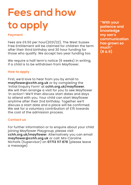# **Fees and how to apply**

#### **Payment**

Fees are £6.50 per hour(2021/22). The West Sussex Free Entitlement will be claimed for children the term after their third birthday and 30 hour funding for those who qualify. We accept two year funding too.

We require a half term's notice (6 weeks) in writing, if a child is to be withdrawn from Mayflower.

#### **How to apply**

First, we'd love to hear from you by email to **mayflower@cchh.org.uk** or by completing the 'Initial Enquiry Form' at **cchh.org.uk/mayflower**. We will then arrange a visit for you to see Mayflower 'in action'! We'll then discuss start dates and days to attend with you. Your child can start Mayflower anytime after their 2nd birthday. Together we'll discuss a start date and a place will be confirmed. We ask for a voluntary contribution of £15 towards the cost of the admission process.

#### **Contact us**

For further information or to enquire about your child joining Mayflower Playgroup, please visit **cchh.org.uk/mayflower**. Alternatively you can email **mayflower@cchh.org.uk** or call: Mrs Caroline Nicholls (Supervisor) on **07713 117 878** (please leave a message).

**''With your patience and knowledge my son's communication has grown so much'' (R & R)**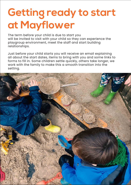### **Getting ready to start at Mayflower**

The term before your child is due to start you will be invited to visit with your child so they can experience the playgroup environment, meet the staff and start building relationships.

Just before your child starts you will receive an email explaining all about the start dates, items to bring with you and some links to forms to fill in. Some children settle quickly, others take longer, we work with the family to make this a smooth transition into the setting.